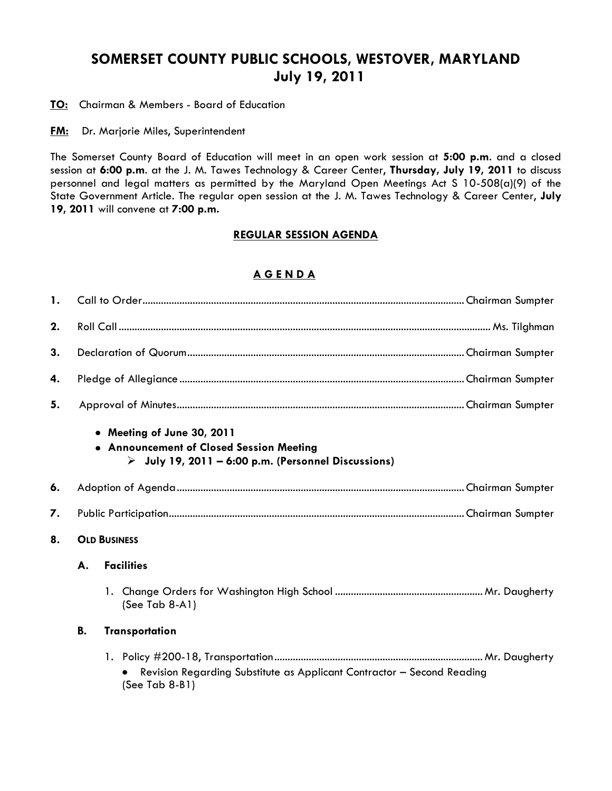# **SOMERSET COUNTY PUBLIC SCHOOLS, WESTOVER, MARYLAND July 19, 2011**

**TO:** Chairman & Members - Board of Education

**FM:** Dr. Marjorie Miles, Superintendent

The Somerset County Board of Education will meet in an open work session at **5:00 p.m**. and a closed session at **6:00 p.m**. at the J. M. Tawes Technology & Career Center, **Thursday, July 19, 2011** to discuss personnel and legal matters as permitted by the Maryland Open Meetings Act S 10-508(a)(9) of the State Government Article. The regular open session at the J. M. Tawes Technology & Career Center, **July 19, 2011** will convene at **7:00 p.m.**

#### **REGULAR SESSION AGENDA**

### **A G E N D A**

| $\mathbf{1}$ . |                     |                                                                                                                                              |  |  |  |
|----------------|---------------------|----------------------------------------------------------------------------------------------------------------------------------------------|--|--|--|
| 2.             |                     |                                                                                                                                              |  |  |  |
| 3.             |                     |                                                                                                                                              |  |  |  |
| 4.             |                     |                                                                                                                                              |  |  |  |
| 5.             |                     |                                                                                                                                              |  |  |  |
|                |                     | • Meeting of June 30, 2011<br>• Announcement of Closed Session Meeting<br>$\triangleright$ July 19, 2011 – 6:00 p.m. (Personnel Discussions) |  |  |  |
| 6.             |                     |                                                                                                                                              |  |  |  |
| 7.             |                     |                                                                                                                                              |  |  |  |
| 8.             | <b>OLD BUSINESS</b> |                                                                                                                                              |  |  |  |
|                | А.                  | <b>Facilities</b>                                                                                                                            |  |  |  |
|                |                     | (See Tab 8-A1)                                                                                                                               |  |  |  |
|                | <b>B.</b>           | <b>Transportation</b>                                                                                                                        |  |  |  |
|                |                     | Revision Regarding Substitute as Applicant Contractor - Second Reading<br>(See Tab 8-B1)                                                     |  |  |  |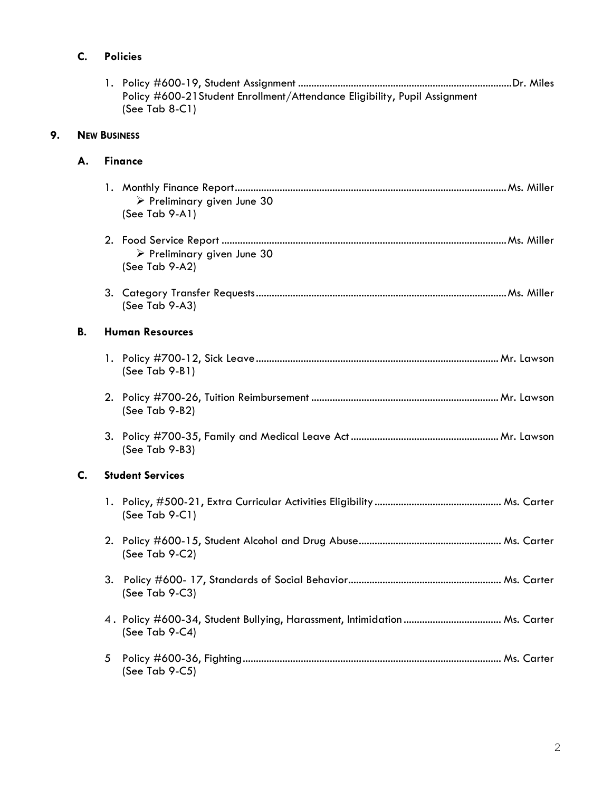## **C. Policies**

|    |                     | Policy #600-21 Student Enrollment/Attendance Eligibility, Pupil Assignment<br>(See Tab $8-C1$ ) |  |  |  |  |  |
|----|---------------------|-------------------------------------------------------------------------------------------------|--|--|--|--|--|
| 9. | <b>NEW BUSINESS</b> |                                                                                                 |  |  |  |  |  |
|    | А.                  | <b>Finance</b>                                                                                  |  |  |  |  |  |
|    |                     | $\triangleright$ Preliminary given June 30<br>(See Tab 9-A1)                                    |  |  |  |  |  |
|    |                     | $\triangleright$ Preliminary given June 30<br>(See Tab 9-A2)                                    |  |  |  |  |  |
|    |                     | (See Tab 9-A3)                                                                                  |  |  |  |  |  |
|    | В.                  | <b>Human Resources</b>                                                                          |  |  |  |  |  |
|    |                     | $(See Tab 9-B1)$                                                                                |  |  |  |  |  |
|    |                     | $(See$ Tab 9-B2)                                                                                |  |  |  |  |  |
|    |                     | (See Tab 9-B3)                                                                                  |  |  |  |  |  |
|    | C.                  | <b>Student Services</b>                                                                         |  |  |  |  |  |
|    |                     | (See Tab $9-C1$ )                                                                               |  |  |  |  |  |
|    |                     | (See Tab $9-C2$ )                                                                               |  |  |  |  |  |
|    |                     | (See Tab 9-C3)                                                                                  |  |  |  |  |  |
|    |                     | (See Tab 9-C4)                                                                                  |  |  |  |  |  |
|    |                     | 5<br>(See Tab 9-C5)                                                                             |  |  |  |  |  |

1. Policy #600-19, Student Assignment .................................................................................Dr. Miles